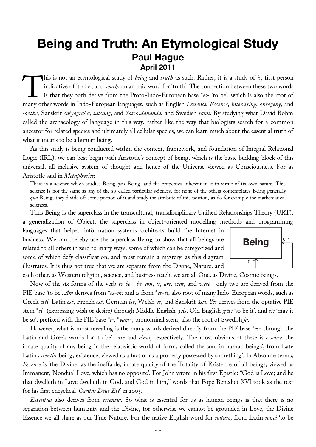# **Being and Truth: An Etymological Study Paul Hague April 2011**

his is not an etymological study of *being* and *truth* as such. Rather, it is a study of *is*, first person indicative of 'to be', and *sooth*, an archaic word for 'truth'. The connection between these two words is that they both derive from the Proto-Indo-European base \**es*- 'to be', which is also the root of This is not an etymological study of *being* and *truth* as such. Rather, it is a study of *is*, first person indicative of 'to be', and *sooth*, an archaic word for 'truth'. The connection between these two words is that *soothe*, Sanskrit *satyagraha*, *satsang*, and *Satchidananda*, and Swedish *sann*. By studying what David Bohm called the archaeology of language in this way, rather like the way that biologists search for a common ancestor for related species and ultimately all cellular species, we can learn much about the essential truth of what it means to be a human being.

As this study is being conducted within the context, framework, and foundation of Integral Relational Logic (IRL), we can best begin with Aristotle's concept of being, which is the basic building block of this universal, all-inclusive system of thought and hence of the Universe viewed as Consciousness. For as Aristotle said in *Metaphysics*:

There is a science which studies Being *qua* Being, and the properties inherent in it in virtue of its own nature. This science is not the same as any of the so-called particular sciences, for none of the others contemplates Being generally *qua* Being; they divide off some portion of it and study the attribute of this portion, as do for example the mathematical sciences.

Thus **Being** is the superclass in the transcultural, transdisciplinary Unified Relationships Theory (URT), a generalization of **Object**, the superclass in object-oriented modelling methods and programming

languages that helped information systems architects build the Internet in business. We can thereby use the superclass **Being** to show that all beings are related to all others in zero to many ways, some of which can be categorized and some of which defy classification, and must remain a mystery, as this diagram illustrates. It is thus not true that we are separate from the Divine, Nature, and



each other, as Western religion, science, and business teach; we are all One, as Divine, Cosmic beings.

Now of the six forms of the verb *to be*—*be*, *am*, *is*, *are*, *was*, and *were*—only two are derived from the PIE base 'to be'. *Am* derives from \**es-mi* and *is* from \**es-ti*, also root of many Indo-European words, such as Greek *esti*, Latin *est*, French *est*, German *ist*, Welsh *ys*, and Sanskrit *ásti*. *Yes* derives from the optative PIE stem \**si-* (expressing wish or desire) through Middle English y*eis*, Old English g*ēse* 'so be it', and *sīe* 'may it be so', prefixed with the PIE base \**i*-, \**yam*-, pronominal stem, also the root of Swedish *ja*.

However, what is most revealing is the many words derived directly from the PIE base \**es*- through the Latin and Greek words for 'to be': *esse* and *einai*, respectively. The most obvious of these is *essence* 'the innate quality of any being in the relativistic world of form, called the soul in human beings', from Late Latin *essentia* 'being, existence, viewed as a fact or as a property possessed by something'. In Absolute terms, *Essence* is 'the Divine, as the ineffable, innate quality of the Totality of Existence of all beings, viewed as Immanent, Nondual Love, which has no opposite'. For John wrote in his first Epistle: "God is Love; and he that dwelleth in Love dwelleth in God, and God in him," words that Pope Benedict XVI took as the text for his first encyclical '*Caritas Deus Est*' in 2005.

*Essential* also derives from *essentia*. So what is essential for us as human beings is that there is no separation between humanity and the Divine, for otherwise we cannot be grounded in Love, the Divine Essence we all share as our True Nature. For the native English word for *nature*, from Latin *nasci* 'to be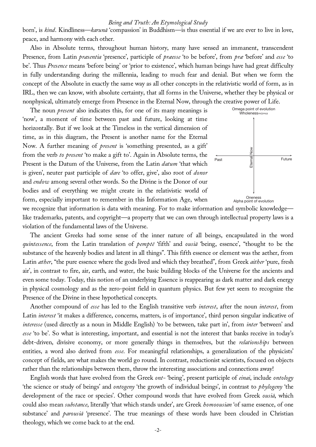born', is *kind*. Kindliness—*karunā* 'compassion' in Buddhism—is thus essential if we are ever to live in love, peace, and harmony with each other.

Also in Absolute terms, throughout human history, many have sensed an immanent, transcendent Presence, from Latin *præsentia* 'presence', participle of *præesse* 'to be before', from *præ* 'before' and *esse* 'to be'. Thus *Presence* means 'before being' or 'prior to existence', which human beings have had great difficulty in fully understanding during the millennia, leading to much fear and denial. But when we form the concept of the Absolute in exactly the same way as all other concepts in the relativistic world of form, as in IRL, then we can know, with absolute certainty, that all forms in the Universe, whether they be physical or nonphysical, ultimately emerge from Presence in the Eternal Now, through the creative power of Life.

The noun *present* also indicates this, for one of its many meanings is 'now', a moment of time between past and future, looking at time horizontally. But if we look at the Timeless in the vertical dimension of time, as in this diagram, the Present is another name for the Eternal Now. A further meaning of *present* is 'something presented, as a gift' from the verb *to present* 'to make a gift to'. Again in Absolute terms, the Present is the Datum of the Universe, from the Latin *datum* 'that which is given', neuter past participle of *dare* 'to offer, give', also root of *donor* and *endow* among several other words. So the Divine is the Donor of our bodies and of everything we might create in the relativistic world of form, especially important to remember in this Information Age, when



we recognize that information is data with meaning. For to make information and symbolic knowledge like trademarks, patents, and copyright—a property that we can own through intellectual property laws is a violation of the fundamental laws of the Universe.

The ancient Greeks had some sense of the inner nature of all beings, encapsulated in the word *quintessence*, from the Latin translation of *pemptē* 'fifth' and *ousiā* 'being, essence', "thought to be the substance of the heavenly bodies and latent in all things". This fifth essence or element was the aether, from Latin *æther*, "the pure essence where the gods lived and which they breathed", from Greek *aither* 'pure, fresh air', in contrast to fire, air, earth, and water, the basic building blocks of the Universe for the ancients and even some today. Today, this notion of an underlying Essence is reappearing as dark matter and dark energy in physical cosmology and as the zero-point field in quantum physics. But few yet seem to recognize the Presence of the Divine in these hypothetical concepts.

Another compound of *esse* has led to the English transitive verb *interest*, after the noun *interest*, from Latin *interest* 'it makes a difference, concerns, matters, is of importance', third person singular indicative of *interesse* (used directly as a noun in Middle English) 'to be between, take part in', from *inter* 'between' and *esse* 'to be'. So what is interesting, important, and essential is not the interest that banks receive in today's debt-driven, divisive economy, or more generally things in themselves, but the *relationships* between entities, a word also derived from *esse*. For meaningful relationships, a generalization of the physicists' concept of fields, are what makes the world go round. In contrast, reductionist scientists, focused on objects rather than the relationships between them, throw the interesting associations and connections away!

English words that have evolved from the Greek *ont-* 'being', present participle of *einai*, include *ontology* 'the science or study of beings' and *ontogeny* 'the growth of individual beings', in contrast to *phylogeny* 'the development of the race or species'. Other compound words that have evolved from Greek *ousiā*, which could also mean *substance*, literally 'that which stands under', are Greek *homoousian* 'of same essence, of one substance' and *parousiā* 'presence'. The true meanings of these words have been clouded in Christian theology, which we come back to at the end.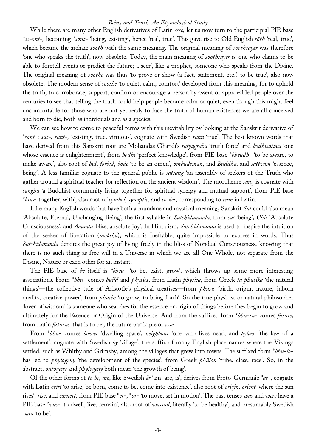While there are many other English derivatives of Latin *esse*, let us now turn to the participial PIE base *\**ə*s-ont-,* becoming *\*sont-* 'being, existing', hence 'real, true'. This gave rise to Old English *sōth* 'real, true', which became the archaic *sooth* with the same meaning. The original meaning of *soothsayer* was therefore 'one who speaks the truth', now obsolete. Today, the main meaning of *soothsayer* is 'one who claims to be able to foretell events or predict the future; a seer', like a prophet, someone who speaks from the Divine. The original meaning of *soothe* was thus 'to prove or show (a fact, statement, etc.) to be true', also now obsolete. The modern sense of *soothe* 'to quiet, calm, comfort' developed from this meaning, for to uphold the truth, to corroborate, support, confirm or encourage a person by assent or approval led people over the centuries to see that telling the truth could help people become calm or quiet, even though this might feel uncomfortable for those who are not yet ready to face the truth of human existence: we are all conceived and born to die, both as individuals and as a species.

We can see how to come to peaceful terms with this inevitability by looking at the Sanskrit derivative of \**sont*-: *sat-, sant-,* 'existing, true, virtuous', cognate with Swedish *sann* 'true'. The best known words that have derived from this Sanskrit root are Mohandas Ghandi's *satyagraha* 'truth force' and *bodhisattva* 'one whose essence is enlightenment', from *bodhi* 'perfect knowledge', from PIE base \**bheudh*- 'to be aware, to make aware', also root of *bid*, *forbid*, *bode* 'to be an omen', *ombudsman*, and *Buddha*, and *sattvam* 'essence, being'. A less familiar cognate to the general public is *satsang* 'an assembly of seekers of the Truth who gather around a spiritual teacher for reflection on the ancient wisdom'. The morpheme *sang* is cognate with *sangha* 'a Buddhist community living together for spiritual synergy and mutual support', from PIE base \**ksun* 'together, with', also root of *symbol*, *synoptic*, and *soviet*, corresponding to *cum* in Latin.

Like many English words that have both a mundane and mystical meaning, Sanskrit *Sat* could also mean 'Absolute, Eternal, Unchanging Being', the first syllable in *Satchidananda*, from *sat* 'being', *Chit* 'Absolute Consciousness', and *Ananda* 'bliss, absolute joy'. In Hinduism, *Satchidananda* is used to inspire the intuition of the seeker of liberation (*moksha*), which is Ineffable, quite impossible to express in words. Thus *Satchidananda* denotes the great joy of living freely in the bliss of Nondual Consciousness, knowing that there is no such thing as free will in a Universe in which we are all One Whole, not separate from the Divine, Nature or each other for an instant.

The PIE base of *be* itself is *\*bheu*- 'to be, exist, grow', which throws up some more interesting associations. From \**bhu*- comes *build* and *physics*, from Latin *physica*, from Greek *ta phusika* 'the natural things'—the collective title of Aristotle's physical treatises—from *phusis* 'birth, origin; nature, inborn quality; creative power', from *phuein* 'to grow, to bring forth'. So the true physicist or natural philosopher 'lover of wisdom' is someone who searches for the essence or origin of things before they begin to grow and ultimately for the Essence or Origin of the Universe. And from the suffixed form \**bhu*-*tu*- comes *future*, from Latin *futūrus* 'that is to be', the future participle of *esse*.

From \**bhū*- comes *bower* 'dwelling space', *neighbour* 'one who lives near', and *bylaw* 'the law of a settlement', cognate with Swedish *by* 'village', the suffix of many English place names where the Vikings settled, such as Whitby and Grimsby, among the villages that grew into towns. The suffixed form \**bhū*-*lo*has led to *phylogeny* 'the development of the species', from Greek *phūlon* 'tribe, class, race'. So, in the abstract, *ontogeny* and *phylogeny* both mean 'the growth of being'.

Of the other forms of *to be*, *are*, like Swedish *är* 'am, are, is', derives from Proto-Germanic \**ar*-, cognate with Latin *orīrī* 'to arise, be born, come to be, come into existence', also root of *origin*, *orient* 'where the sun rises', *rise*, and *earnest*, from PIE base \**er*-, \**or*- 'to move, set in motion'. The past tenses *was* and *were* have a PIE base \**wes*- 'to dwell, live, remain', also root of *wassail*, literally 'to be healthy', and presumably Swedish *vara* 'to be'.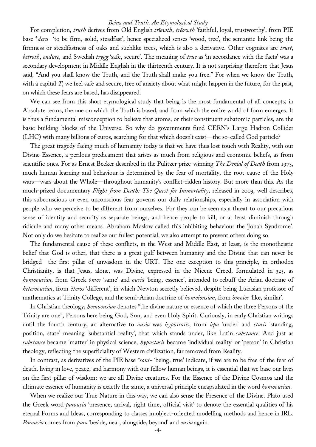For completion, *truth* derives from Old English *trīewth*, *trēowth* 'faithful, loyal, trustworthy', from PIE base \**deru*- 'to be firm, solid, steadfast', hence specialized senses 'wood, tree', the semantic link being the firmness or steadfastness of oaks and suchlike trees, which is also a derivative. Other cognates are *trust*, *betroth*, *endure*, and Swedish *trygg* 'safe, secure'. The meaning of *true* as 'in accordance with the facts' was a secondary development in Middle English in the thirteenth century. It is not surprising therefore that Jesus said, "And you shall know the Truth, and the Truth shall make you free." For when we know the Truth, with a capital *T*, we feel safe and secure, free of anxiety about what might happen in the future, for the past, on which these fears are based, has disappeared.

We can see from this short etymological study that being is the most fundamental of all concepts; in Absolute terms, the one on which the Truth is based, and from which the entire world of form emerges. It is thus a fundamental misconception to believe that atoms, or their constituent subatomic particles, are the basic building blocks of the Universe. So why do governments fund CERN's Large Hadron Collider (LHC) with many billions of euros, searching for that which doesn't exist—the so-called God particle?

The great tragedy facing much of humanity today is that we have thus lost touch with Reality, with our Divine Essence, a perilous predicament that arises as much from religious and economic beliefs, as from scientific ones. For as Ernest Becker described in the Pulitzer prize-winning *The Denial of Death* from 1973, much human learning and behaviour is determined by the fear of mortality, the root cause of the Holy wars—wars about the Whole—throughout humanity's conflict-ridden history. But more than this. As the much-prized documentary *Flight from Death: The Quest for Immortality*, released in 2003, well describes, this subconscious or even unconscious fear governs our daily relationships, especially in association with people who we perceive to be different from ourselves. For they can be seen as a threat to our precarious sense of identity and security as separate beings, and hence people to kill, or at least diminish through ridicule and many other means. Abraham Maslow called this inhibiting behaviour the 'Jonah Syndrome'. Not only do we hesitate to realize our fullest potential, we also attempt to prevent others doing so.

The fundamental cause of these conflicts, in the West and Middle East, at least, is the monotheistic belief that God is other, that there is a great gulf between humanity and the Divine that can never be bridged—the first pillar of unwisdom in the URT. The one exception to this principle, in orthodox Christianity, is that Jesus, alone, was Divine, expressed in the Nicene Creed, formulated in 325, as *homoousian*, from Greek ó*mos* 'same' and *ousiā* 'being, essence', intended to rebuff the Arian doctrine of *heteroousian*, from é*teros* 'different', in which Newton secretly believed, despite being Lucasian professor of mathematics at Trinity College, and the semi-Arian doctrine of *homoiousian*, from ó*moios* 'like, similar'.

In Christian theology, *homoousian* denotes "the divine nature or essence of which the three Persons of the Trinity are one", Persons here being God, Son, and even Holy Spirit. Curiously, in early Christian writings until the fourth century, an alternative to *ousiā* was *hypostasis*, from ú*po* 'under' and *stasis* 'standing, position, state' meaning 'substantial reality', that which stands under, like Latin *substance*. And just as *substance* became 'matter' in physical science, *hypostasis* became 'individual reality' or 'person' in Christian theology, reflecting the superficiality of Western civilization, far removed from Reality.

In contrast, as derivatives of the PIE base *\*sont-* 'being, true' indicate, if we are to be free of the fear of death, living in love, peace, and harmony with our fellow human beings, it is essential that we base our lives on the first pillar of wisdom: we are all Divine creatures. For the Essence of the Divine Cosmos and the ultimate essence of humanity is exactly the same, a universal principle encapsulated in the word *homoousian*.

When we realize our True Nature in this way, we can also sense the Presence of the Divine. Plato used the Greek word *parousiā* 'presence, arrival, right time, official visit' to denote the essential qualities of his eternal Forms and Ideas, corresponding to classes in object-oriented modelling methods and hence in IRL. *Parousiā* comes from *para* 'beside, near, alongside, beyond' and *ousiā* again.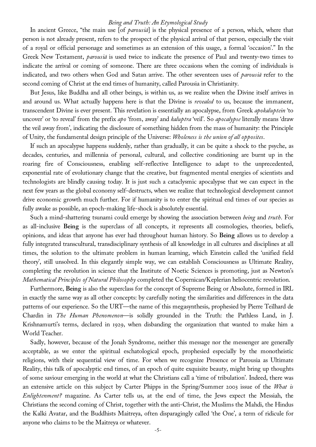In ancient Greece, "the main use [of *parousiā*] is the physical presence of a person, which, where that person is not already present, refers to the prospect of the physical arrival of that person, especially the visit of a royal or official personage and sometimes as an extension of this usage, a formal 'occasion'." In the Greek New Testament, *parousiā* is used twice to indicate the presence of Paul and twenty-two times to indicate the arrival or coming of someone. There are three occasions when the coming of individuals is indicated, and two others when God and Satan arrive. The other seventeen uses of *parousiā* refer to the second coming of Christ at the end times of humanity, called Parousia in Christianity.

But Jesus, like Buddha and all other beings, is within us, as we realize when the Divine itself arrives in and around us. What actually happens here is that the Divine is *revealed* to us, because the immanent, transcendent Divine is ever present. This revelation is essentially an apocalypse, from Greek *apokaluptein* 'to uncover' or 'to reveal' from the prefix *apo* 'from, away' and *kaluptra* 'veil'. So *apocalypse* literally means 'draw the veil away from', indicating the disclosure of something hidden from the mass of humanity: the Principle of Unity, the fundamental design principle of the Universe: *Wholeness is the union of all opposites*.

If such an apocalypse happens suddenly, rather than gradually, it can be quite a shock to the psyche, as decades, centuries, and millennia of personal, cultural, and collective conditioning are burnt up in the roaring fire of Consciousness, enabling self-reflective Intelligence to adapt to the unprecedented, exponential rate of evolutionary change that the creative, but fragmented mental energies of scientists and technologists are blindly causing today. It is just such a cataclysmic apocalypse that we can expect in the next few years as the global economy self-destructs, when we realize that technological development cannot drive economic growth much further. For if humanity is to enter the spiritual end times of our species as fully awake as possible, an epoch-making life-shock is absolutely essential.

Such a mind-shattering tsunami could emerge by showing the association between *being* and *truth*. For as all-inclusive **Being** is the superclass of all concepts, it represents all cosmologies, theories, beliefs, opinions, and ideas that anyone has ever had throughout human history. So **Being** allows us to develop a fully integrated transcultural, transdisciplinary synthesis of all knowledge in all cultures and disciplines at all times, the solution to the ultimate problem in human learning, which Einstein called the 'unified field theory', still unsolved. In this elegantly simple way, we can establish Consciousness as Ultimate Reality, completing the revolution in science that the Institute of Noetic Sciences is promoting, just as Newton's *Mathematical Principles of Natural Philosophy* completed the Copernican/Keplerian heliocentric revolution.

Furthermore, **Being** is also the superclass for the concept of Supreme Being or Absolute, formed in IRL in exactly the same way as all other concepts: by carefully noting the similarities and differences in the data patterns of our experience. So the URT—the name of this megasynthesis, prophesied by Pierre Teilhard de Chardin in *The Human Phenomenon*—is solidly grounded in the Truth: the Pathless Land, in J. Krishnamurti's terms, declared in 1929, when disbanding the organization that wanted to make him a World Teacher.

Sadly, however, because of the Jonah Syndrome, neither this message nor the messenger are generally acceptable, as we enter the spiritual eschatological epoch, prophesied especially by the monotheistic religions, with their sequential view of time. For when we recognize Presence or Parousia as Ultimate Reality, this talk of apocalyptic end times, of an epoch of quite exquisite beauty, might bring up thoughts of some saviour emerging in the world at what the Christians call a 'time of tribulation'. Indeed, there was an extensive article on this subject by Carter Phipps in the Spring/Summer 2003 issue of the *What is Enlightenment?* magazine. As Carter tells us, at the end of time, the Jews expect the Messiah, the Christians the second coming of Christ, together with the anti-Christ, the Muslims the Mahdi, the Hindus the Kalki Avatar, and the Buddhists Maitreya, often disparagingly called 'the One', a term of ridicule for anyone who claims to be the Maitreya or whatever.